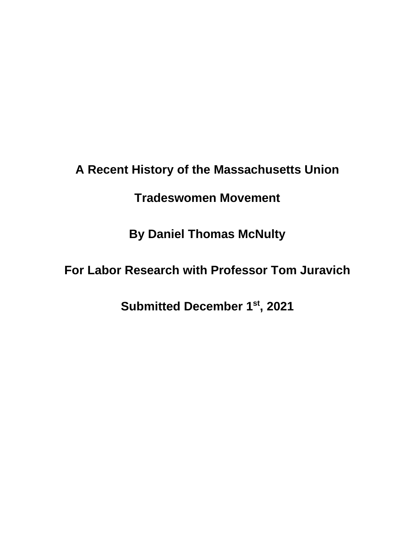**A Recent History of the Massachusetts Union** 

**Tradeswomen Movement** 

**By Daniel Thomas McNulty**

**For Labor Research with Professor Tom Juravich**

**Submitted December 1st, 2021**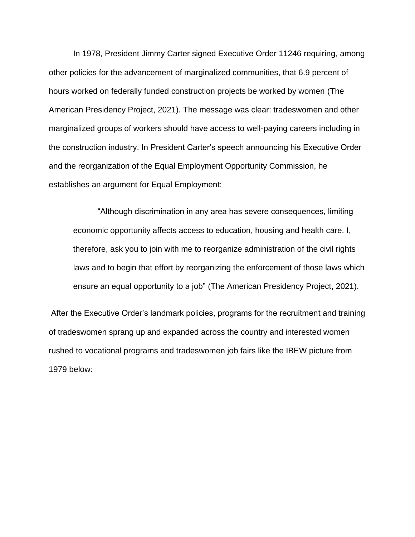In 1978, President Jimmy Carter signed Executive Order 11246 requiring, among other policies for the advancement of marginalized communities, that 6.9 percent of hours worked on federally funded construction projects be worked by women (The American Presidency Project, 2021). The message was clear: tradeswomen and other marginalized groups of workers should have access to well-paying careers including in the construction industry. In President Carter's speech announcing his Executive Order and the reorganization of the Equal Employment Opportunity Commission, he establishes an argument for Equal Employment:

"Although discrimination in any area has severe consequences, limiting economic opportunity affects access to education, housing and health care. I, therefore, ask you to join with me to reorganize administration of the civil rights laws and to begin that effort by reorganizing the enforcement of those laws which ensure an equal opportunity to a job" (The American Presidency Project, 2021).

After the Executive Order's landmark policies, programs for the recruitment and training of tradeswomen sprang up and expanded across the country and interested women rushed to vocational programs and tradeswomen job fairs like the IBEW picture from 1979 below: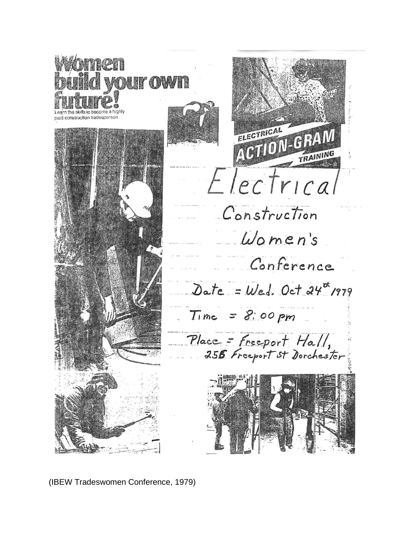

(IBEW Tradeswomen Conference, 1979)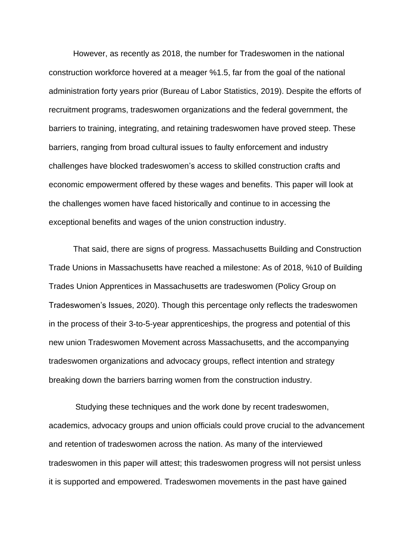However, as recently as 2018, the number for Tradeswomen in the national construction workforce hovered at a meager %1.5, far from the goal of the national administration forty years prior (Bureau of Labor Statistics, 2019). Despite the efforts of recruitment programs, tradeswomen organizations and the federal government, the barriers to training, integrating, and retaining tradeswomen have proved steep. These barriers, ranging from broad cultural issues to faulty enforcement and industry challenges have blocked tradeswomen's access to skilled construction crafts and economic empowerment offered by these wages and benefits. This paper will look at the challenges women have faced historically and continue to in accessing the exceptional benefits and wages of the union construction industry.

That said, there are signs of progress. Massachusetts Building and Construction Trade Unions in Massachusetts have reached a milestone: As of 2018, %10 of Building Trades Union Apprentices in Massachusetts are tradeswomen (Policy Group on Tradeswomen's Issues, 2020). Though this percentage only reflects the tradeswomen in the process of their 3-to-5-year apprenticeships, the progress and potential of this new union Tradeswomen Movement across Massachusetts, and the accompanying tradeswomen organizations and advocacy groups, reflect intention and strategy breaking down the barriers barring women from the construction industry.

Studying these techniques and the work done by recent tradeswomen, academics, advocacy groups and union officials could prove crucial to the advancement and retention of tradeswomen across the nation. As many of the interviewed tradeswomen in this paper will attest; this tradeswomen progress will not persist unless it is supported and empowered. Tradeswomen movements in the past have gained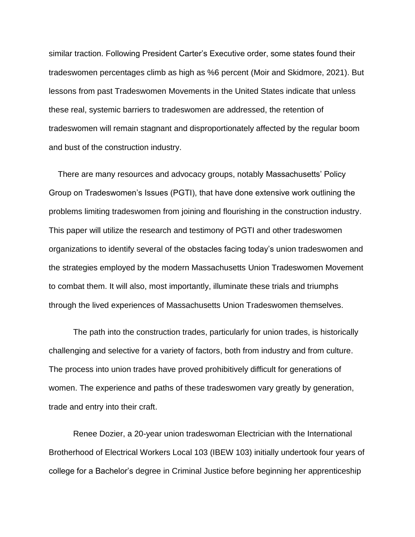similar traction. Following President Carter's Executive order, some states found their tradeswomen percentages climb as high as %6 percent (Moir and Skidmore, 2021). But lessons from past Tradeswomen Movements in the United States indicate that unless these real, systemic barriers to tradeswomen are addressed, the retention of tradeswomen will remain stagnant and disproportionately affected by the regular boom and bust of the construction industry.

 There are many resources and advocacy groups, notably Massachusetts' Policy Group on Tradeswomen's Issues (PGTI), that have done extensive work outlining the problems limiting tradeswomen from joining and flourishing in the construction industry. This paper will utilize the research and testimony of PGTI and other tradeswomen organizations to identify several of the obstacles facing today's union tradeswomen and the strategies employed by the modern Massachusetts Union Tradeswomen Movement to combat them. It will also, most importantly, illuminate these trials and triumphs through the lived experiences of Massachusetts Union Tradeswomen themselves.

The path into the construction trades, particularly for union trades, is historically challenging and selective for a variety of factors, both from industry and from culture. The process into union trades have proved prohibitively difficult for generations of women. The experience and paths of these tradeswomen vary greatly by generation, trade and entry into their craft.

Renee Dozier, a 20-year union tradeswoman Electrician with the International Brotherhood of Electrical Workers Local 103 (IBEW 103) initially undertook four years of college for a Bachelor's degree in Criminal Justice before beginning her apprenticeship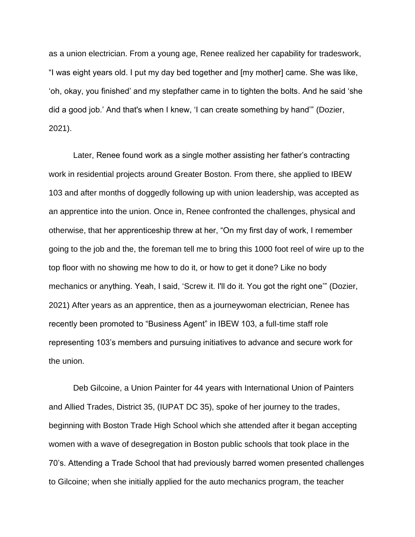as a union electrician. From a young age, Renee realized her capability for tradeswork, "I was eight years old. I put my day bed together and [my mother] came. She was like, 'oh, okay, you finished' and my stepfather came in to tighten the bolts. And he said 'she did a good job.' And that's when I knew, 'I can create something by hand'" (Dozier, 2021).

Later, Renee found work as a single mother assisting her father's contracting work in residential projects around Greater Boston. From there, she applied to IBEW 103 and after months of doggedly following up with union leadership, was accepted as an apprentice into the union. Once in, Renee confronted the challenges, physical and otherwise, that her apprenticeship threw at her, "On my first day of work, I remember going to the job and the, the foreman tell me to bring this 1000 foot reel of wire up to the top floor with no showing me how to do it, or how to get it done? Like no body mechanics or anything. Yeah, I said, 'Screw it. I'll do it. You got the right one'" (Dozier, 2021) After years as an apprentice, then as a journeywoman electrician, Renee has recently been promoted to "Business Agent" in IBEW 103, a full-time staff role representing 103's members and pursuing initiatives to advance and secure work for the union.

Deb Gilcoine, a Union Painter for 44 years with International Union of Painters and Allied Trades, District 35, (IUPAT DC 35), spoke of her journey to the trades, beginning with Boston Trade High School which she attended after it began accepting women with a wave of desegregation in Boston public schools that took place in the 70's. Attending a Trade School that had previously barred women presented challenges to Gilcoine; when she initially applied for the auto mechanics program, the teacher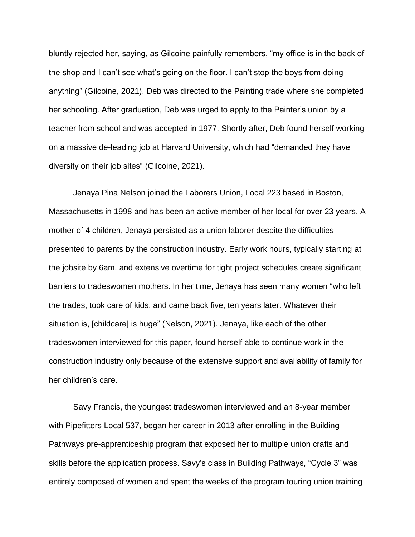bluntly rejected her, saying, as Gilcoine painfully remembers, "my office is in the back of the shop and I can't see what's going on the floor. I can't stop the boys from doing anything" (Gilcoine, 2021). Deb was directed to the Painting trade where she completed her schooling. After graduation, Deb was urged to apply to the Painter's union by a teacher from school and was accepted in 1977. Shortly after, Deb found herself working on a massive de-leading job at Harvard University, which had "demanded they have diversity on their job sites" (Gilcoine, 2021).

Jenaya Pina Nelson joined the Laborers Union, Local 223 based in Boston, Massachusetts in 1998 and has been an active member of her local for over 23 years. A mother of 4 children, Jenaya persisted as a union laborer despite the difficulties presented to parents by the construction industry. Early work hours, typically starting at the jobsite by 6am, and extensive overtime for tight project schedules create significant barriers to tradeswomen mothers. In her time, Jenaya has seen many women "who left the trades, took care of kids, and came back five, ten years later. Whatever their situation is, [childcare] is huge" (Nelson, 2021). Jenaya, like each of the other tradeswomen interviewed for this paper, found herself able to continue work in the construction industry only because of the extensive support and availability of family for her children's care.

Savy Francis, the youngest tradeswomen interviewed and an 8-year member with Pipefitters Local 537, began her career in 2013 after enrolling in the Building Pathways pre-apprenticeship program that exposed her to multiple union crafts and skills before the application process. Savy's class in Building Pathways, "Cycle 3" was entirely composed of women and spent the weeks of the program touring union training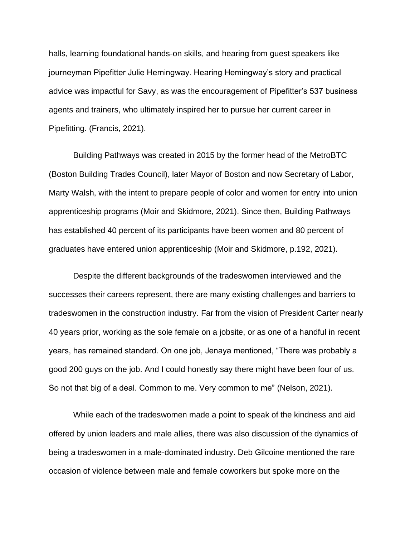halls, learning foundational hands-on skills, and hearing from guest speakers like journeyman Pipefitter Julie Hemingway. Hearing Hemingway's story and practical advice was impactful for Savy, as was the encouragement of Pipefitter's 537 business agents and trainers, who ultimately inspired her to pursue her current career in Pipefitting. (Francis, 2021).

Building Pathways was created in 2015 by the former head of the MetroBTC (Boston Building Trades Council), later Mayor of Boston and now Secretary of Labor, Marty Walsh, with the intent to prepare people of color and women for entry into union apprenticeship programs (Moir and Skidmore, 2021). Since then, Building Pathways has established 40 percent of its participants have been women and 80 percent of graduates have entered union apprenticeship (Moir and Skidmore, p.192, 2021).

Despite the different backgrounds of the tradeswomen interviewed and the successes their careers represent, there are many existing challenges and barriers to tradeswomen in the construction industry. Far from the vision of President Carter nearly 40 years prior, working as the sole female on a jobsite, or as one of a handful in recent years, has remained standard. On one job, Jenaya mentioned, "There was probably a good 200 guys on the job. And I could honestly say there might have been four of us. So not that big of a deal. Common to me. Very common to me" (Nelson, 2021).

While each of the tradeswomen made a point to speak of the kindness and aid offered by union leaders and male allies, there was also discussion of the dynamics of being a tradeswomen in a male-dominated industry. Deb Gilcoine mentioned the rare occasion of violence between male and female coworkers but spoke more on the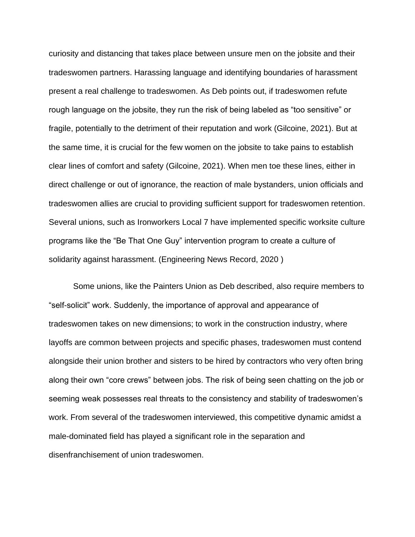curiosity and distancing that takes place between unsure men on the jobsite and their tradeswomen partners. Harassing language and identifying boundaries of harassment present a real challenge to tradeswomen. As Deb points out, if tradeswomen refute rough language on the jobsite, they run the risk of being labeled as "too sensitive" or fragile, potentially to the detriment of their reputation and work (Gilcoine, 2021). But at the same time, it is crucial for the few women on the jobsite to take pains to establish clear lines of comfort and safety (Gilcoine, 2021). When men toe these lines, either in direct challenge or out of ignorance, the reaction of male bystanders, union officials and tradeswomen allies are crucial to providing sufficient support for tradeswomen retention. Several unions, such as Ironworkers Local 7 have implemented specific worksite culture programs like the "Be That One Guy" intervention program to create a culture of solidarity against harassment. (Engineering News Record, 2020 )

Some unions, like the Painters Union as Deb described, also require members to "self-solicit" work. Suddenly, the importance of approval and appearance of tradeswomen takes on new dimensions; to work in the construction industry, where layoffs are common between projects and specific phases, tradeswomen must contend alongside their union brother and sisters to be hired by contractors who very often bring along their own "core crews" between jobs. The risk of being seen chatting on the job or seeming weak possesses real threats to the consistency and stability of tradeswomen's work. From several of the tradeswomen interviewed, this competitive dynamic amidst a male-dominated field has played a significant role in the separation and disenfranchisement of union tradeswomen.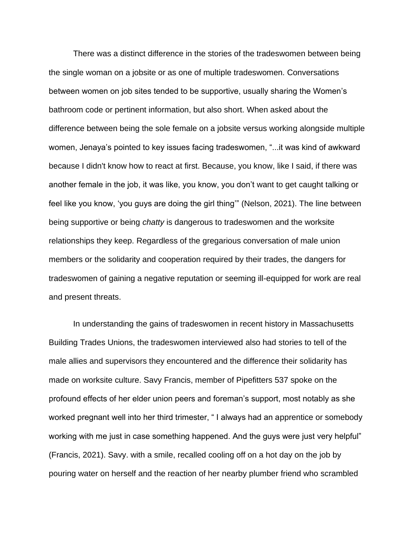There was a distinct difference in the stories of the tradeswomen between being the single woman on a jobsite or as one of multiple tradeswomen. Conversations between women on job sites tended to be supportive, usually sharing the Women's bathroom code or pertinent information, but also short. When asked about the difference between being the sole female on a jobsite versus working alongside multiple women, Jenaya's pointed to key issues facing tradeswomen, "...it was kind of awkward because I didn't know how to react at first. Because, you know, like I said, if there was another female in the job, it was like, you know, you don't want to get caught talking or feel like you know, 'you guys are doing the girl thing'" (Nelson, 2021). The line between being supportive or being *chatty* is dangerous to tradeswomen and the worksite relationships they keep. Regardless of the gregarious conversation of male union members or the solidarity and cooperation required by their trades, the dangers for tradeswomen of gaining a negative reputation or seeming ill-equipped for work are real and present threats.

In understanding the gains of tradeswomen in recent history in Massachusetts Building Trades Unions, the tradeswomen interviewed also had stories to tell of the male allies and supervisors they encountered and the difference their solidarity has made on worksite culture. Savy Francis, member of Pipefitters 537 spoke on the profound effects of her elder union peers and foreman's support, most notably as she worked pregnant well into her third trimester, " I always had an apprentice or somebody working with me just in case something happened. And the guys were just very helpful" (Francis, 2021). Savy. with a smile, recalled cooling off on a hot day on the job by pouring water on herself and the reaction of her nearby plumber friend who scrambled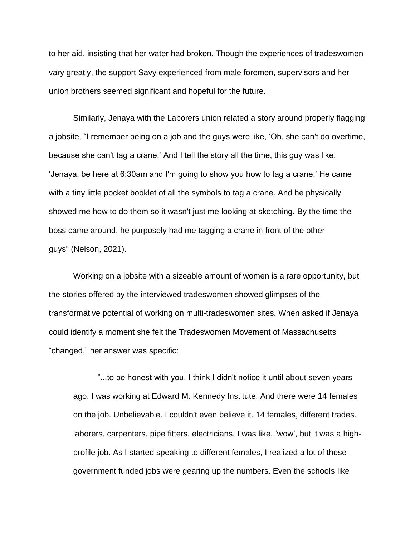to her aid, insisting that her water had broken. Though the experiences of tradeswomen vary greatly, the support Savy experienced from male foremen, supervisors and her union brothers seemed significant and hopeful for the future.

Similarly, Jenaya with the Laborers union related a story around properly flagging a jobsite, "I remember being on a job and the guys were like, 'Oh, she can't do overtime, because she can't tag a crane.' And I tell the story all the time, this guy was like, 'Jenaya, be here at 6:30am and I'm going to show you how to tag a crane.' He came with a tiny little pocket booklet of all the symbols to tag a crane. And he physically showed me how to do them so it wasn't just me looking at sketching. By the time the boss came around, he purposely had me tagging a crane in front of the other guys" (Nelson, 2021).

Working on a jobsite with a sizeable amount of women is a rare opportunity, but the stories offered by the interviewed tradeswomen showed glimpses of the transformative potential of working on multi-tradeswomen sites. When asked if Jenaya could identify a moment she felt the Tradeswomen Movement of Massachusetts "changed," her answer was specific:

"...to be honest with you. I think I didn't notice it until about seven years ago. I was working at Edward M. Kennedy Institute. And there were 14 females on the job. Unbelievable. I couldn't even believe it. 14 females, different trades. laborers, carpenters, pipe fitters, electricians. I was like, 'wow', but it was a highprofile job. As I started speaking to different females, I realized a lot of these government funded jobs were gearing up the numbers. Even the schools like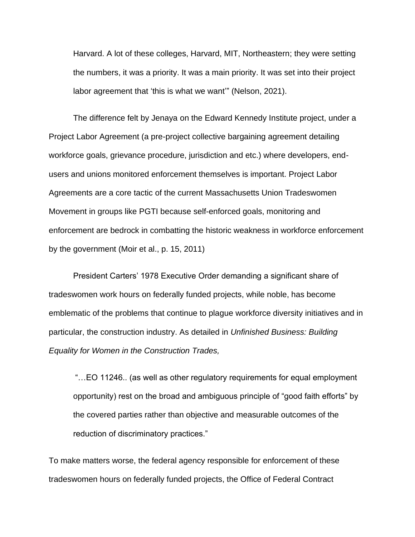Harvard. A lot of these colleges, Harvard, MIT, Northeastern; they were setting the numbers, it was a priority. It was a main priority. It was set into their project labor agreement that 'this is what we want'" (Nelson, 2021).

The difference felt by Jenaya on the Edward Kennedy Institute project, under a Project Labor Agreement (a pre-project collective bargaining agreement detailing workforce goals, grievance procedure, jurisdiction and etc.) where developers, endusers and unions monitored enforcement themselves is important. Project Labor Agreements are a core tactic of the current Massachusetts Union Tradeswomen Movement in groups like PGTI because self-enforced goals, monitoring and enforcement are bedrock in combatting the historic weakness in workforce enforcement by the government (Moir et al., p. 15, 2011)

President Carters' 1978 Executive Order demanding a significant share of tradeswomen work hours on federally funded projects, while noble, has become emblematic of the problems that continue to plague workforce diversity initiatives and in particular, the construction industry. As detailed in *Unfinished Business: Building Equality for Women in the Construction Trades,*

"…EO 11246.. (as well as other regulatory requirements for equal employment opportunity) rest on the broad and ambiguous principle of "good faith efforts" by the covered parties rather than objective and measurable outcomes of the reduction of discriminatory practices."

To make matters worse, the federal agency responsible for enforcement of these tradeswomen hours on federally funded projects, the Office of Federal Contract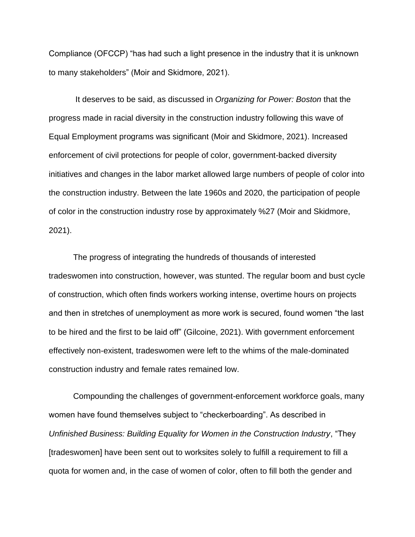Compliance (OFCCP) "has had such a light presence in the industry that it is unknown to many stakeholders" (Moir and Skidmore, 2021).

It deserves to be said, as discussed in *Organizing for Power: Boston* that the progress made in racial diversity in the construction industry following this wave of Equal Employment programs was significant (Moir and Skidmore, 2021). Increased enforcement of civil protections for people of color, government-backed diversity initiatives and changes in the labor market allowed large numbers of people of color into the construction industry. Between the late 1960s and 2020, the participation of people of color in the construction industry rose by approximately %27 (Moir and Skidmore, 2021).

The progress of integrating the hundreds of thousands of interested tradeswomen into construction, however, was stunted. The regular boom and bust cycle of construction, which often finds workers working intense, overtime hours on projects and then in stretches of unemployment as more work is secured, found women "the last to be hired and the first to be laid off" (Gilcoine, 2021). With government enforcement effectively non-existent, tradeswomen were left to the whims of the male-dominated construction industry and female rates remained low.

Compounding the challenges of government-enforcement workforce goals, many women have found themselves subject to "checkerboarding". As described in *Unfinished Business: Building Equality for Women in the Construction Industry*, "They [tradeswomen] have been sent out to worksites solely to fulfill a requirement to fill a quota for women and, in the case of women of color, often to fill both the gender and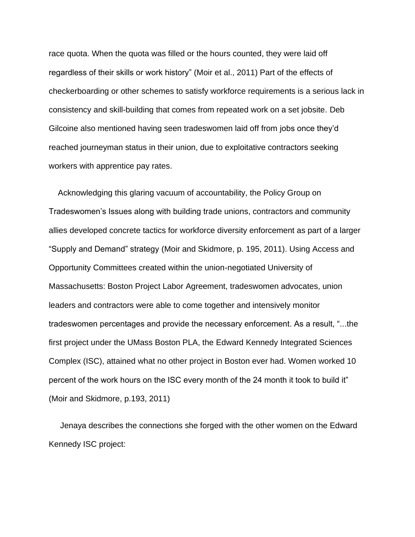race quota. When the quota was filled or the hours counted, they were laid off regardless of their skills or work history" (Moir et al., 2011) Part of the effects of checkerboarding or other schemes to satisfy workforce requirements is a serious lack in consistency and skill-building that comes from repeated work on a set jobsite. Deb Gilcoine also mentioned having seen tradeswomen laid off from jobs once they'd reached journeyman status in their union, due to exploitative contractors seeking workers with apprentice pay rates.

 Acknowledging this glaring vacuum of accountability, the Policy Group on Tradeswomen's Issues along with building trade unions, contractors and community allies developed concrete tactics for workforce diversity enforcement as part of a larger "Supply and Demand" strategy (Moir and Skidmore, p. 195, 2011). Using Access and Opportunity Committees created within the union-negotiated University of Massachusetts: Boston Project Labor Agreement, tradeswomen advocates, union leaders and contractors were able to come together and intensively monitor tradeswomen percentages and provide the necessary enforcement. As a result, "...the first project under the UMass Boston PLA, the Edward Kennedy Integrated Sciences Complex (ISC), attained what no other project in Boston ever had. Women worked 10 percent of the work hours on the ISC every month of the 24 month it took to build it" (Moir and Skidmore, p.193, 2011)

 Jenaya describes the connections she forged with the other women on the Edward Kennedy ISC project: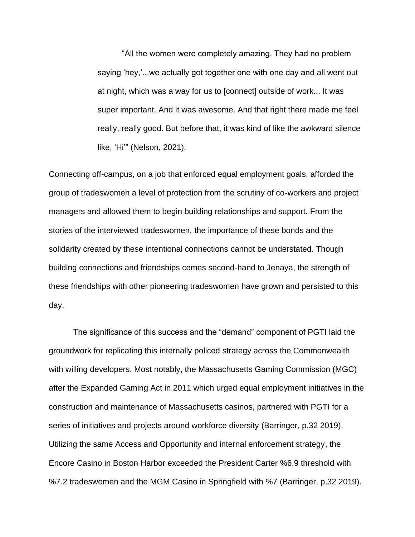"All the women were completely amazing. They had no problem saying 'hey,'...we actually got together one with one day and all went out at night, which was a way for us to [connect] outside of work... It was super important. And it was awesome. And that right there made me feel really, really good. But before that, it was kind of like the awkward silence like, 'Hi'" (Nelson, 2021).

Connecting off-campus, on a job that enforced equal employment goals, afforded the group of tradeswomen a level of protection from the scrutiny of co-workers and project managers and allowed them to begin building relationships and support. From the stories of the interviewed tradeswomen, the importance of these bonds and the solidarity created by these intentional connections cannot be understated. Though building connections and friendships comes second-hand to Jenaya, the strength of these friendships with other pioneering tradeswomen have grown and persisted to this day.

The significance of this success and the "demand" component of PGTI laid the groundwork for replicating this internally policed strategy across the Commonwealth with willing developers. Most notably, the Massachusetts Gaming Commission (MGC) after the Expanded Gaming Act in 2011 which urged equal employment initiatives in the construction and maintenance of Massachusetts casinos, partnered with PGTI for a series of initiatives and projects around workforce diversity (Barringer, p.32 2019). Utilizing the same Access and Opportunity and internal enforcement strategy, the Encore Casino in Boston Harbor exceeded the President Carter %6.9 threshold with %7.2 tradeswomen and the MGM Casino in Springfield with %7 (Barringer, p.32 2019).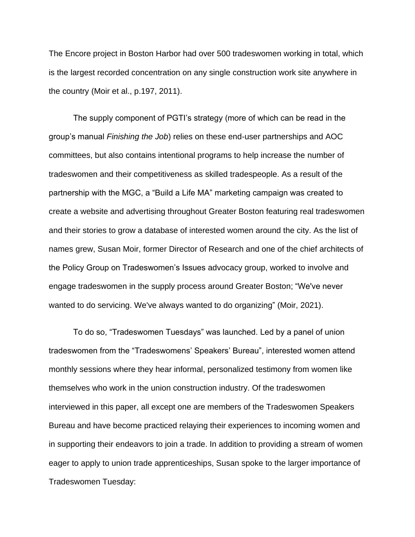The Encore project in Boston Harbor had over 500 tradeswomen working in total, which is the largest recorded concentration on any single construction work site anywhere in the country (Moir et al., p.197, 2011).

The supply component of PGTI's strategy (more of which can be read in the group's manual *Finishing the Job*) relies on these end-user partnerships and AOC committees, but also contains intentional programs to help increase the number of tradeswomen and their competitiveness as skilled tradespeople. As a result of the partnership with the MGC, a "Build a Life MA" marketing campaign was created to create a website and advertising throughout Greater Boston featuring real tradeswomen and their stories to grow a database of interested women around the city. As the list of names grew, Susan Moir, former Director of Research and one of the chief architects of the Policy Group on Tradeswomen's Issues advocacy group, worked to involve and engage tradeswomen in the supply process around Greater Boston; "We've never wanted to do servicing. We've always wanted to do organizing" (Moir, 2021).

To do so, "Tradeswomen Tuesdays" was launched. Led by a panel of union tradeswomen from the "Tradeswomens' Speakers' Bureau", interested women attend monthly sessions where they hear informal, personalized testimony from women like themselves who work in the union construction industry. Of the tradeswomen interviewed in this paper, all except one are members of the Tradeswomen Speakers Bureau and have become practiced relaying their experiences to incoming women and in supporting their endeavors to join a trade. In addition to providing a stream of women eager to apply to union trade apprenticeships, Susan spoke to the larger importance of Tradeswomen Tuesday: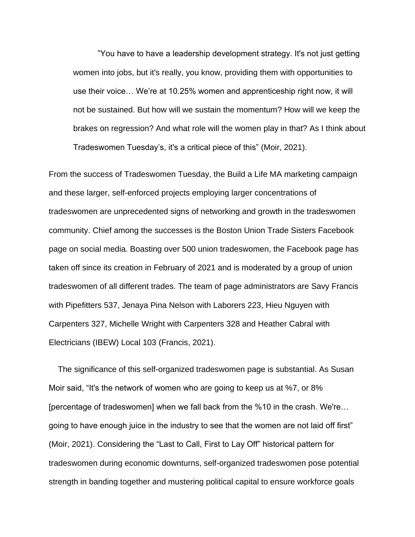"You have to have a leadership development strategy. It's not just getting women into jobs, but it's really, you know, providing them with opportunities to use their voice… We're at 10.25% women and apprenticeship right now, it will not be sustained. But how will we sustain the momentum? How will we keep the brakes on regression? And what role will the women play in that? As I think about Tradeswomen Tuesday's, it's a critical piece of this" (Moir, 2021).

From the success of Tradeswomen Tuesday, the Build a Life MA marketing campaign and these larger, self-enforced projects employing larger concentrations of tradeswomen are unprecedented signs of networking and growth in the tradeswomen community. Chief among the successes is the Boston Union Trade Sisters Facebook page on social media. Boasting over 500 union tradeswomen, the Facebook page has taken off since its creation in February of 2021 and is moderated by a group of union tradeswomen of all different trades. The team of page administrators are Savy Francis with Pipefitters 537, Jenaya Pina Nelson with Laborers 223, Hieu Nguyen with Carpenters 327, Michelle Wright with Carpenters 328 and Heather Cabral with Electricians (IBEW) Local 103 (Francis, 2021).

 The significance of this self-organized tradeswomen page is substantial. As Susan Moir said, "It's the network of women who are going to keep us at %7, or 8% [percentage of tradeswomen] when we fall back from the %10 in the crash. We're… going to have enough juice in the industry to see that the women are not laid off first" (Moir, 2021). Considering the "Last to Call, First to Lay Off" historical pattern for tradeswomen during economic downturns, self-organized tradeswomen pose potential strength in banding together and mustering political capital to ensure workforce goals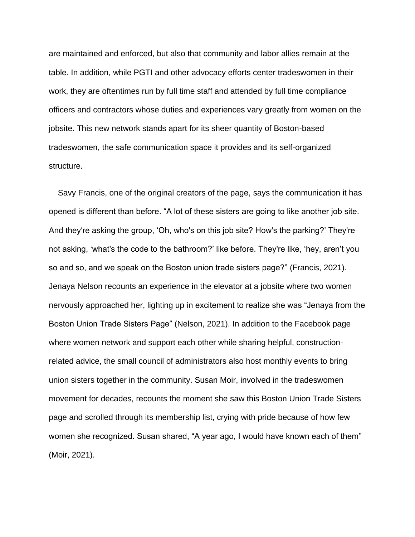are maintained and enforced, but also that community and labor allies remain at the table. In addition, while PGTI and other advocacy efforts center tradeswomen in their work, they are oftentimes run by full time staff and attended by full time compliance officers and contractors whose duties and experiences vary greatly from women on the jobsite. This new network stands apart for its sheer quantity of Boston-based tradeswomen, the safe communication space it provides and its self-organized structure.

 Savy Francis, one of the original creators of the page, says the communication it has opened is different than before. "A lot of these sisters are going to like another job site. And they're asking the group, 'Oh, who's on this job site? How's the parking?' They're not asking, 'what's the code to the bathroom?' like before. They're like, 'hey, aren't you so and so, and we speak on the Boston union trade sisters page?" (Francis, 2021). Jenaya Nelson recounts an experience in the elevator at a jobsite where two women nervously approached her, lighting up in excitement to realize she was "Jenaya from the Boston Union Trade Sisters Page" (Nelson, 2021). In addition to the Facebook page where women network and support each other while sharing helpful, constructionrelated advice, the small council of administrators also host monthly events to bring union sisters together in the community. Susan Moir, involved in the tradeswomen movement for decades, recounts the moment she saw this Boston Union Trade Sisters page and scrolled through its membership list, crying with pride because of how few women she recognized. Susan shared, "A year ago, I would have known each of them" (Moir, 2021).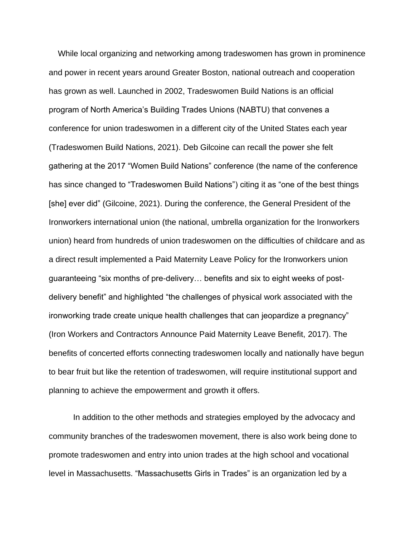While local organizing and networking among tradeswomen has grown in prominence and power in recent years around Greater Boston, national outreach and cooperation has grown as well. Launched in 2002, Tradeswomen Build Nations is an official program of North America's Building Trades Unions (NABTU) that convenes a conference for union tradeswomen in a different city of the United States each year (Tradeswomen Build Nations, 2021). Deb Gilcoine can recall the power she felt gathering at the 2017 "Women Build Nations" conference (the name of the conference has since changed to "Tradeswomen Build Nations") citing it as "one of the best things [she] ever did" (Gilcoine, 2021). During the conference, the General President of the Ironworkers international union (the national, umbrella organization for the Ironworkers union) heard from hundreds of union tradeswomen on the difficulties of childcare and as a direct result implemented a Paid Maternity Leave Policy for the Ironworkers union guaranteeing "six months of pre-delivery… benefits and six to eight weeks of postdelivery benefit" and highlighted "the challenges of physical work associated with the ironworking trade create unique health challenges that can jeopardize a pregnancy" (Iron Workers and Contractors Announce Paid Maternity Leave Benefit, 2017). The benefits of concerted efforts connecting tradeswomen locally and nationally have begun to bear fruit but like the retention of tradeswomen, will require institutional support and planning to achieve the empowerment and growth it offers.

In addition to the other methods and strategies employed by the advocacy and community branches of the tradeswomen movement, there is also work being done to promote tradeswomen and entry into union trades at the high school and vocational level in Massachusetts. "Massachusetts Girls in Trades" is an organization led by a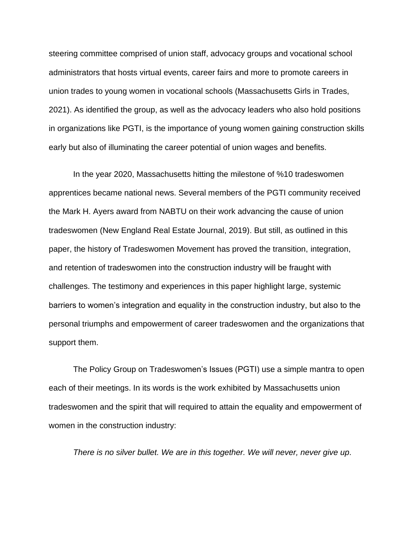steering committee comprised of union staff, advocacy groups and vocational school administrators that hosts virtual events, career fairs and more to promote careers in union trades to young women in vocational schools (Massachusetts Girls in Trades, 2021). As identified the group, as well as the advocacy leaders who also hold positions in organizations like PGTI, is the importance of young women gaining construction skills early but also of illuminating the career potential of union wages and benefits.

In the year 2020, Massachusetts hitting the milestone of %10 tradeswomen apprentices became national news. Several members of the PGTI community received the Mark H. Ayers award from NABTU on their work advancing the cause of union tradeswomen (New England Real Estate Journal, 2019). But still, as outlined in this paper, the history of Tradeswomen Movement has proved the transition, integration, and retention of tradeswomen into the construction industry will be fraught with challenges. The testimony and experiences in this paper highlight large, systemic barriers to women's integration and equality in the construction industry, but also to the personal triumphs and empowerment of career tradeswomen and the organizations that support them.

The Policy Group on Tradeswomen's Issues (PGTI) use a simple mantra to open each of their meetings. In its words is the work exhibited by Massachusetts union tradeswomen and the spirit that will required to attain the equality and empowerment of women in the construction industry:

*There is no silver bullet. We are in this together. We will never, never give up.*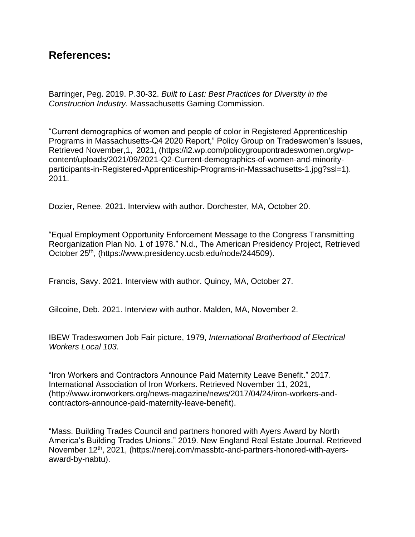## **References:**

Barringer, Peg. 2019. P.30-32. *Built to Last: Best Practices for Diversity in the Construction Industry.* Massachusetts Gaming Commission.

"Current demographics of women and people of color in Registered Apprenticeship Programs in Massachusetts-Q4 2020 Report," Policy Group on Tradeswomen's Issues, Retrieved November,1, 2021, (https://i2.wp.com/policygroupontradeswomen.org/wpcontent/uploads/2021/09/2021-Q2-Current-demographics-of-women-and-minorityparticipants-in-Registered-Apprenticeship-Programs-in-Massachusetts-1.jpg?ssl=1). 2011.

Dozier, Renee. 2021. Interview with author. Dorchester, MA, October 20.

"Equal Employment Opportunity Enforcement Message to the Congress Transmitting Reorganization Plan No. 1 of 1978." N.d., The American Presidency Project, Retrieved October 25th, (https://www.presidency.ucsb.edu/node/244509).

Francis, Savy. 2021. Interview with author. Quincy, MA, October 27.

Gilcoine, Deb. 2021. Interview with author. Malden, MA, November 2.

IBEW Tradeswomen Job Fair picture, 1979, *International Brotherhood of Electrical Workers Local 103.* 

"Iron Workers and Contractors Announce Paid Maternity Leave Benefit." 2017. International Association of Iron Workers. Retrieved November 11, 2021, (http://www.ironworkers.org/news-magazine/news/2017/04/24/iron-workers-andcontractors-announce-paid-maternity-leave-benefit).

"Mass. Building Trades Council and partners honored with Ayers Award by North America's Building Trades Unions." 2019. New England Real Estate Journal. Retrieved November 12th, 2021, (https://nerej.com/massbtc-and-partners-honored-with-ayersaward-by-nabtu).